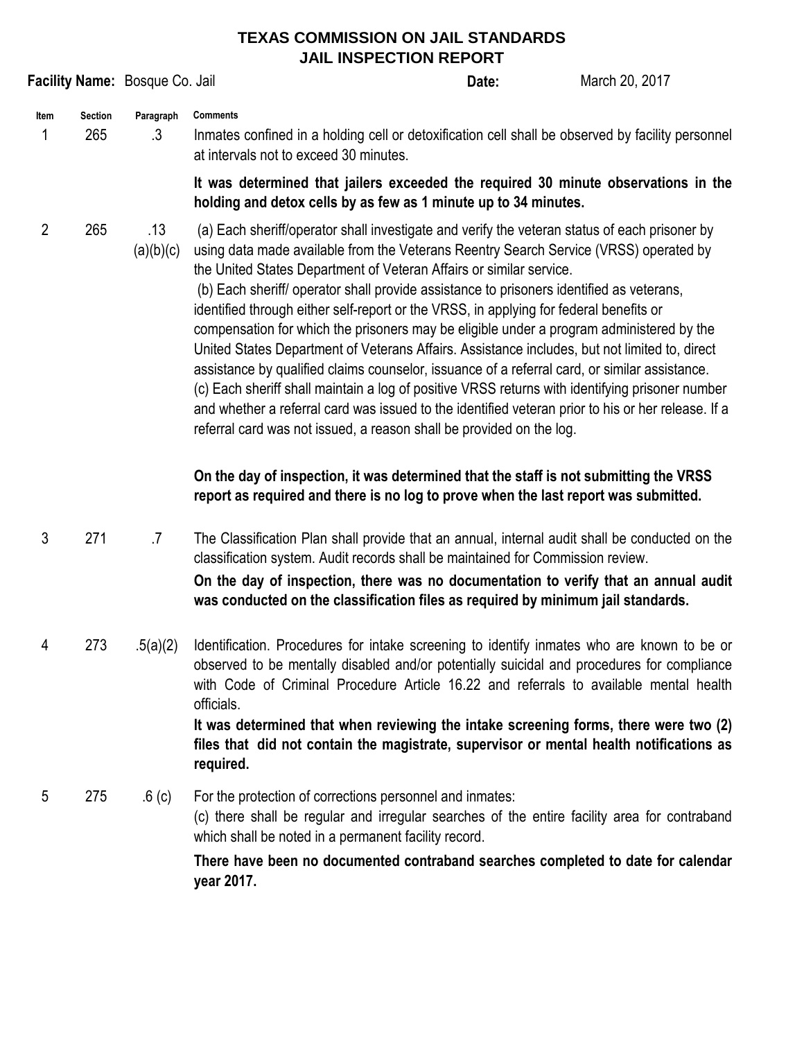## **TEXAS COMMISSION ON JAIL STANDARDS JAIL INSPECTION REPORT**

|                                                                                                                                                                                                                         |     | Facility Name: Bosque Co. Jail | JAIL INJFEUTIUN REFURT                                                                                                                                                                                                                                                                                                                                                                                                                                                                                                                                                                                                                                                                                                                                                                                                                                                                                                                                                                                                             | Date:                                                                                                                                                 | March 20, 2017 |  |
|-------------------------------------------------------------------------------------------------------------------------------------------------------------------------------------------------------------------------|-----|--------------------------------|------------------------------------------------------------------------------------------------------------------------------------------------------------------------------------------------------------------------------------------------------------------------------------------------------------------------------------------------------------------------------------------------------------------------------------------------------------------------------------------------------------------------------------------------------------------------------------------------------------------------------------------------------------------------------------------------------------------------------------------------------------------------------------------------------------------------------------------------------------------------------------------------------------------------------------------------------------------------------------------------------------------------------------|-------------------------------------------------------------------------------------------------------------------------------------------------------|----------------|--|
| <b>Section</b><br><b>Comments</b><br>Paragraph<br>Item<br>265<br>.3<br>1<br>Inmates confined in a holding cell or detoxification cell shall be observed by facility personnel<br>at intervals not to exceed 30 minutes. |     |                                |                                                                                                                                                                                                                                                                                                                                                                                                                                                                                                                                                                                                                                                                                                                                                                                                                                                                                                                                                                                                                                    |                                                                                                                                                       |                |  |
|                                                                                                                                                                                                                         |     |                                |                                                                                                                                                                                                                                                                                                                                                                                                                                                                                                                                                                                                                                                                                                                                                                                                                                                                                                                                                                                                                                    | It was determined that jailers exceeded the required 30 minute observations in the<br>holding and detox cells by as few as 1 minute up to 34 minutes. |                |  |
| $\overline{2}$                                                                                                                                                                                                          | 265 | .13<br>(a)(b)(c)               | (a) Each sheriff/operator shall investigate and verify the veteran status of each prisoner by<br>using data made available from the Veterans Reentry Search Service (VRSS) operated by<br>the United States Department of Veteran Affairs or similar service.<br>(b) Each sheriff/ operator shall provide assistance to prisoners identified as veterans,<br>identified through either self-report or the VRSS, in applying for federal benefits or<br>compensation for which the prisoners may be eligible under a program administered by the<br>United States Department of Veterans Affairs. Assistance includes, but not limited to, direct<br>assistance by qualified claims counselor, issuance of a referral card, or similar assistance.<br>(c) Each sheriff shall maintain a log of positive VRSS returns with identifying prisoner number<br>and whether a referral card was issued to the identified veteran prior to his or her release. If a<br>referral card was not issued, a reason shall be provided on the log. |                                                                                                                                                       |                |  |
|                                                                                                                                                                                                                         |     |                                | On the day of inspection, it was determined that the staff is not submitting the VRSS<br>report as required and there is no log to prove when the last report was submitted.                                                                                                                                                                                                                                                                                                                                                                                                                                                                                                                                                                                                                                                                                                                                                                                                                                                       |                                                                                                                                                       |                |  |
| 3                                                                                                                                                                                                                       | 271 | $.7\,$                         | The Classification Plan shall provide that an annual, internal audit shall be conducted on the<br>classification system. Audit records shall be maintained for Commission review.<br>On the day of inspection, there was no documentation to verify that an annual audit<br>was conducted on the classification files as required by minimum jail standards.                                                                                                                                                                                                                                                                                                                                                                                                                                                                                                                                                                                                                                                                       |                                                                                                                                                       |                |  |
| 4                                                                                                                                                                                                                       | 273 | .5(a)(2)                       | Identification. Procedures for intake screening to identify inmates who are known to be or<br>observed to be mentally disabled and/or potentially suicidal and procedures for compliance<br>with Code of Criminal Procedure Article 16.22 and referrals to available mental health<br>officials.<br>It was determined that when reviewing the intake screening forms, there were two (2)<br>files that did not contain the magistrate, supervisor or mental health notifications as<br>required.                                                                                                                                                                                                                                                                                                                                                                                                                                                                                                                                   |                                                                                                                                                       |                |  |
| 5                                                                                                                                                                                                                       | 275 | .6 <sub>(c)</sub>              | For the protection of corrections personnel and inmates:<br>(c) there shall be regular and irregular searches of the entire facility area for contraband<br>which shall be noted in a permanent facility record.                                                                                                                                                                                                                                                                                                                                                                                                                                                                                                                                                                                                                                                                                                                                                                                                                   |                                                                                                                                                       |                |  |
|                                                                                                                                                                                                                         |     |                                | There have been no documented contraband searches completed to date for calendar<br>year 2017.                                                                                                                                                                                                                                                                                                                                                                                                                                                                                                                                                                                                                                                                                                                                                                                                                                                                                                                                     |                                                                                                                                                       |                |  |